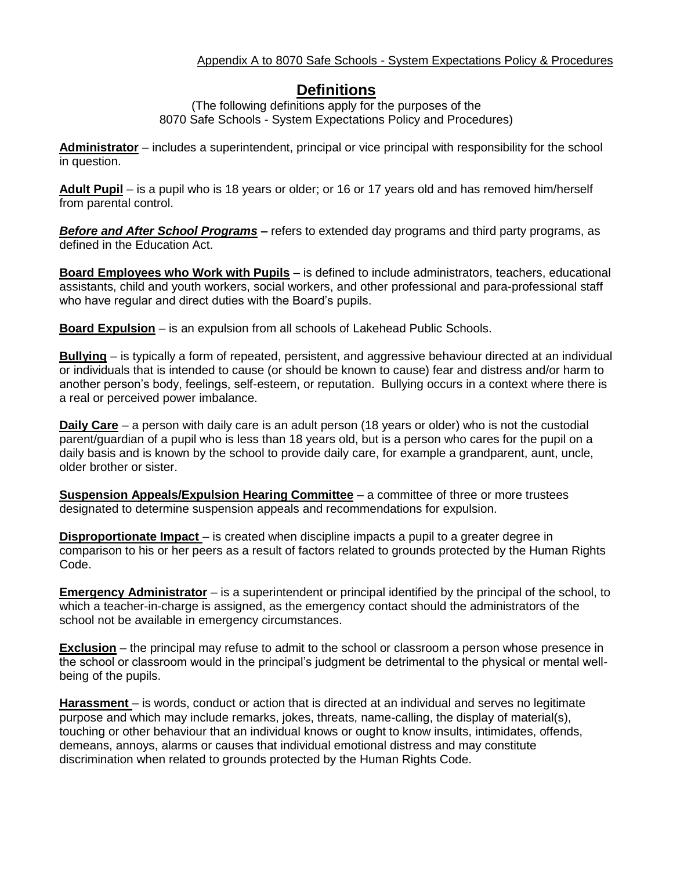## Appendix A to 8070 Safe Schools - System Expectations Policy & Procedures

## **Definitions**

(The following definitions apply for the purposes of the 8070 Safe Schools - System Expectations Policy and Procedures)

**Administrator** – includes a superintendent, principal or vice principal with responsibility for the school in question.

**Adult Pupil** – is a pupil who is 18 years or older; or 16 or 17 years old and has removed him/herself from parental control.

*Before and After School Programs –* refers to extended day programs and third party programs, as defined in the Education Act.

**Board Employees who Work with Pupils** – is defined to include administrators, teachers, educational assistants, child and youth workers, social workers, and other professional and para-professional staff who have regular and direct duties with the Board's pupils.

**Board Expulsion** – is an expulsion from all schools of Lakehead Public Schools.

**Bullying** – is typically a form of repeated, persistent, and aggressive behaviour directed at an individual or individuals that is intended to cause (or should be known to cause) fear and distress and/or harm to another person's body, feelings, self-esteem, or reputation. Bullying occurs in a context where there is a real or perceived power imbalance.

**Daily Care** – a person with daily care is an adult person (18 years or older) who is not the custodial parent/guardian of a pupil who is less than 18 years old, but is a person who cares for the pupil on a daily basis and is known by the school to provide daily care, for example a grandparent, aunt, uncle, older brother or sister.

**Suspension Appeals/Expulsion Hearing Committee** – a committee of three or more trustees designated to determine suspension appeals and recommendations for expulsion.

**Disproportionate Impact** – is created when discipline impacts a pupil to a greater degree in comparison to his or her peers as a result of factors related to grounds protected by the Human Rights Code.

**Emergency Administrator** – is a superintendent or principal identified by the principal of the school, to which a teacher-in-charge is assigned, as the emergency contact should the administrators of the school not be available in emergency circumstances.

**Exclusion** – the principal may refuse to admit to the school or classroom a person whose presence in the school or classroom would in the principal's judgment be detrimental to the physical or mental wellbeing of the pupils.

**Harassment** – is words, conduct or action that is directed at an individual and serves no legitimate purpose and which may include remarks, jokes, threats, name-calling, the display of material(s), touching or other behaviour that an individual knows or ought to know insults, intimidates, offends, demeans, annoys, alarms or causes that individual emotional distress and may constitute discrimination when related to grounds protected by the Human Rights Code.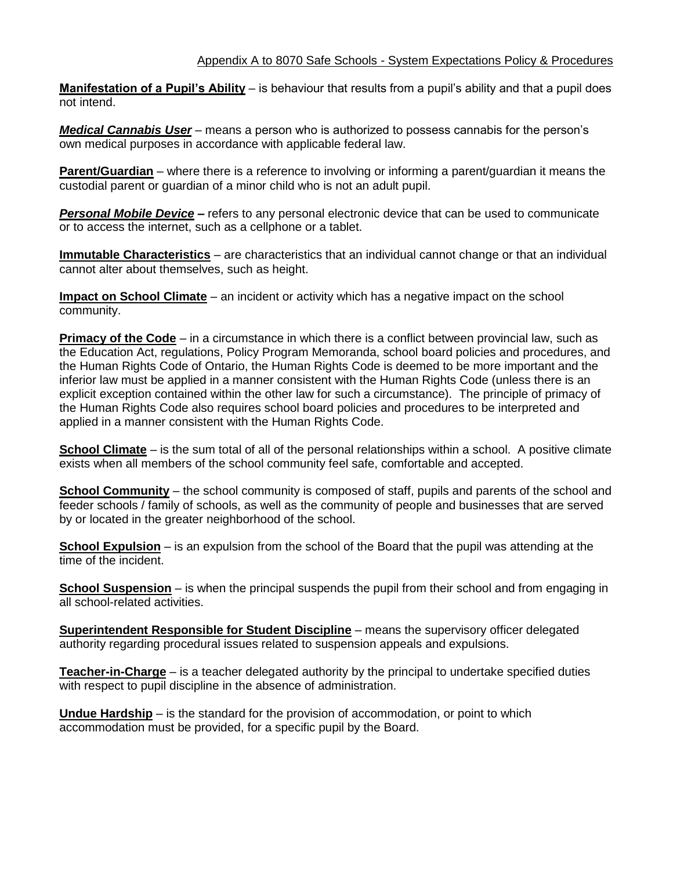## Appendix A to 8070 Safe Schools - System Expectations Policy & Procedures

**Manifestation of a Pupil's Ability** – is behaviour that results from a pupil's ability and that a pupil does not intend.

*Medical Cannabis User* – means a person who is authorized to possess cannabis for the person's own medical purposes in accordance with applicable federal law.

**Parent/Guardian** – where there is a reference to involving or informing a parent/guardian it means the custodial parent or guardian of a minor child who is not an adult pupil.

*Personal Mobile Device –* refers to any personal electronic device that can be used to communicate or to access the internet, such as a cellphone or a tablet.

**Immutable Characteristics** – are characteristics that an individual cannot change or that an individual cannot alter about themselves, such as height.

**Impact on School Climate** – an incident or activity which has a negative impact on the school community.

**Primacy of the Code** – in a circumstance in which there is a conflict between provincial law, such as the Education Act, regulations, Policy Program Memoranda, school board policies and procedures, and the Human Rights Code of Ontario, the Human Rights Code is deemed to be more important and the inferior law must be applied in a manner consistent with the Human Rights Code (unless there is an explicit exception contained within the other law for such a circumstance). The principle of primacy of the Human Rights Code also requires school board policies and procedures to be interpreted and applied in a manner consistent with the Human Rights Code.

**School Climate** – is the sum total of all of the personal relationships within a school. A positive climate exists when all members of the school community feel safe, comfortable and accepted.

**School Community** – the school community is composed of staff, pupils and parents of the school and feeder schools / family of schools, as well as the community of people and businesses that are served by or located in the greater neighborhood of the school.

**School Expulsion** – is an expulsion from the school of the Board that the pupil was attending at the time of the incident.

**School Suspension** – is when the principal suspends the pupil from their school and from engaging in all school-related activities.

**Superintendent Responsible for Student Discipline** – means the supervisory officer delegated authority regarding procedural issues related to suspension appeals and expulsions.

**Teacher-in-Charge** – is a teacher delegated authority by the principal to undertake specified duties with respect to pupil discipline in the absence of administration.

**Undue Hardship** – is the standard for the provision of accommodation, or point to which accommodation must be provided, for a specific pupil by the Board.